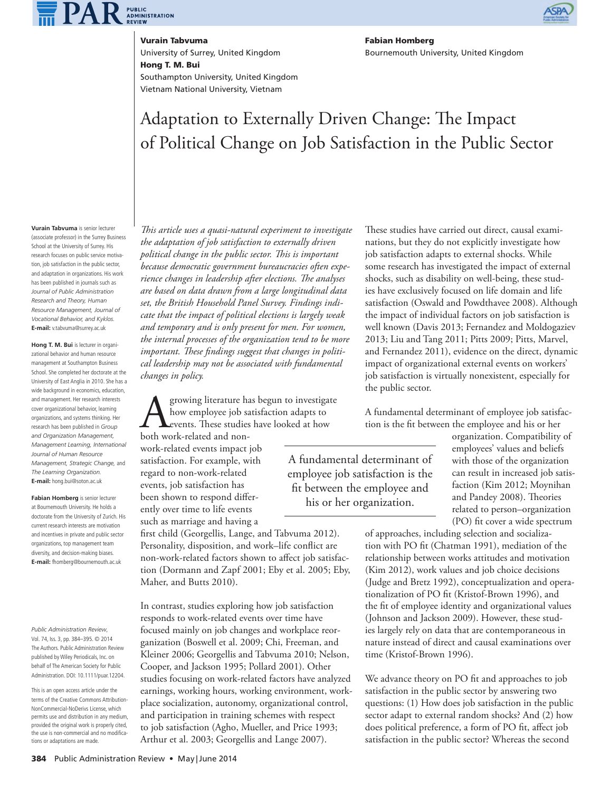

**Vurain Tabvuma** University of Surrey, United Kingdom **Hong T. M. Bui** Southampton University, United Kingdom Vietnam National University, Vietnam



**Fabian Homberg** Bournemouth University, United Kingdom

# Adaptation to Externally Driven Change: The Impact of Political Change on Job Satisfaction in the Public Sector

**Vurain Tabvuma** is senior lecturer (associate professor) in the Surrey Business School at the University of Surrey. His research focuses on public service motivation, job satisfaction in the public sector, and adaptation in organizations. His work has been published in journals such as *Journal of Public Administration Research and Theory, Human Resource Management, Journal of Vocational Behavior, and Kyklos.* **E-mail:** v.tabvuma@surrey.ac.uk

**Hong T. M. Bui** is lecturer in organizational behavior and human resource management at Southampton Business School. She completed her doctorate at the University of East Anglia in 2010. She has a wide background in economics, education, and management. Her research interests cover organizational behavior, learning organizations, and systems thinking. Her research has been published in *Group and Organization Management, Management Learning, International Journal of Human Resource Management, Strategic Change,* and *The Learning Organization.* **E-mail:** hong.bui@soton.ac.uk

**Fabian Homberg** is senior lecturer at Bournemouth University. He holds a doctorate from the University of Zurich. His current research interests are motivation and incentives in private and public sector organizations, top management team diversity, and decision-making biases. **E-mail:** fhomberg@bournemouth.ac.uk

*Public Administration Review*, Vol. 74, Iss. 3, pp. 384–395. © 2014 The Authors. Public Administration Review published by Wiley Periodicals, Inc. on behalf of The American Society for Public Administration. DOI: 10.1111/puar.12204.

This is an open access article under the terms of the Creative Commons Attribution-NonCommercial-NoDerivs License, which permits use and distribution in any medium, provided the original work is properly cited, the use is non-commercial and no modifications or adaptations are made.

*This article uses a quasi-natural experiment to investigate the adaptation of job satisfaction to externally driven political change in the public sector. This is important because democratic government bureaucracies often expe*rience changes in leadership after elections. The analyses *are based on data drawn from a large longitudinal data set, the British Household Panel Survey. Findings indicate that the impact of political elections is largely weak and temporary and is only present for men. For women, the internal processes of the organization tend to be more*  important. These findings suggest that changes in politi*cal leadership may not be associated with fundamental changes in policy.*

growing literature has begun to investigate how employee job satisfaction adapts to events. Th ese studies have looked at how

both work-related and nonwork-related events impact job satisfaction. For example, with regard to non-work-related events, job satisfaction has been shown to respond differently over time to life events such as marriage and having a

first child (Georgellis, Lange, and Tabvuma 2012). Personality, disposition, and work–life conflict are non-work-related factors shown to affect job satisfaction (Dormann and Zapf 2001; Eby et al. 2005; Eby, Maher, and Butts 2010).

In contrast, studies exploring how job satisfaction responds to work-related events over time have focused mainly on job changes and workplace reorganization (Boswell et al. 2009; Chi, Freeman, and Kleiner 2006; Georgellis and Tabvuma 2010; Nelson, Cooper, and Jackson 1995; Pollard 2001). Other studies focusing on work-related factors have analyzed earnings, working hours, working environment, workplace socialization, autonomy, organizational control, and participation in training schemes with respect to job satisfaction (Agho, Mueller, and Price 1993; Arthur et al. 2003; Georgellis and Lange 2007).

These studies have carried out direct, causal examinations, but they do not explicitly investigate how job satisfaction adapts to external shocks. While some research has investigated the impact of external shocks, such as disability on well-being, these studies have exclusively focused on life domain and life satisfaction (Oswald and Powdthavee 2008). Although the impact of individual factors on job satisfaction is well known (Davis 2013; Fernandez and Moldogaziev 2013; Liu and Tang 2011; Pitts 2009; Pitts, Marvel, and Fernandez 2011), evidence on the direct, dynamic impact of organizational external events on workers' job satisfaction is virtually nonexistent, especially for the public sector.

A fundamental determinant of employee job satisfaction is the fit between the employee and his or her

A fundamental determinant of employee job satisfaction is the fit between the employee and his or her organization.

organization. Compatibility of employees' values and beliefs with those of the organization can result in increased job satisfaction (Kim 2012; Moynihan and Pandey 2008). Theories related to person–organization (PO) fit cover a wide spectrum

of approaches, including selection and socialization with PO fit (Chatman 1991), mediation of the relationship between works attitudes and motivation (Kim 2012), work values and job choice decisions (Judge and Bretz 1992), conceptualization and operationalization of PO fit (Kristof-Brown 1996), and the fit of employee identity and organizational values (Johnson and Jackson 2009). However, these studies largely rely on data that are contemporaneous in nature instead of direct and causal examinations over time (Kristof-Brown 1996).

We advance theory on PO fit and approaches to job satisfaction in the public sector by answering two questions: (1) How does job satisfaction in the public sector adapt to external random shocks? And (2) how does political preference, a form of PO fit, affect job satisfaction in the public sector? Whereas the second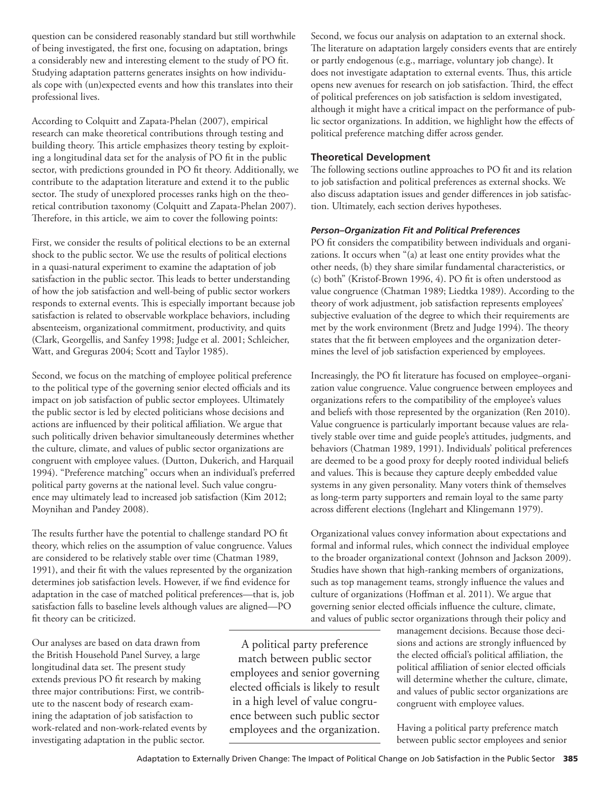question can be considered reasonably standard but still worthwhile of being investigated, the first one, focusing on adaptation, brings a considerably new and interesting element to the study of PO fit. Studying adaptation patterns generates insights on how individuals cope with (un)expected events and how this translates into their professional lives.

According to Colquitt and Zapata-Phelan (2007), empirical research can make theoretical contributions through testing and building theory. This article emphasizes theory testing by exploiting a longitudinal data set for the analysis of PO fit in the public sector, with predictions grounded in PO fit theory. Additionally, we contribute to the adaptation literature and extend it to the public sector. The study of unexplored processes ranks high on the theoretical contribution taxonomy (Colquitt and Zapata-Phelan 2007). Therefore, in this article, we aim to cover the following points:

First, we consider the results of political elections to be an external shock to the public sector. We use the results of political elections in a quasi-natural experiment to examine the adaptation of job satisfaction in the public sector. This leads to better understanding of how the job satisfaction and well-being of public sector workers responds to external events. This is especially important because job satisfaction is related to observable workplace behaviors, including absenteeism, organizational commitment, productivity, and quits (Clark, Georgellis, and Sanfey 1998; Judge et al. 2001; Schleicher, Watt, and Greguras 2004; Scott and Taylor 1985).

Second, we focus on the matching of employee political preference to the political type of the governing senior elected officials and its impact on job satisfaction of public sector employees. Ultimately the public sector is led by elected politicians whose decisions and actions are influenced by their political affiliation. We argue that such politically driven behavior simultaneously determines whether the culture, climate, and values of public sector organizations are congruent with employee values. (Dutton, Dukerich, and Harquail 1994). "Preference matching" occurs when an individual's preferred political party governs at the national level. Such value congruence may ultimately lead to increased job satisfaction (Kim 2012; Moynihan and Pandey 2008).

The results further have the potential to challenge standard PO fit theory, which relies on the assumption of value congruence. Values are considered to be relatively stable over time (Chatman 1989, 1991), and their fit with the values represented by the organization determines job satisfaction levels. However, if we find evidence for adaptation in the case of matched political preferences—that is, job satisfaction falls to baseline levels although values are aligned—PO fit theory can be criticized.

Our analyses are based on data drawn from the British Household Panel Survey, a large longitudinal data set. The present study extends previous PO fit research by making three major contributions: First, we contribute to the nascent body of research examining the adaptation of job satisfaction to work-related and non-work-related events by investigating adaptation in the public sector.

A political party preference match between public sector employees and senior governing elected officials is likely to result in a high level of value congruence between such public sector employees and the organization.

Second, we focus our analysis on adaptation to an external shock. The literature on adaptation largely considers events that are entirely or partly endogenous (e.g., marriage, voluntary job change). It does not investigate adaptation to external events. Thus, this article opens new avenues for research on job satisfaction. Third, the effect of political preferences on job satisfaction is seldom investigated, although it might have a critical impact on the performance of public sector organizations. In addition, we highlight how the effects of political preference matching differ across gender.

# **Theoretical Development**

The following sections outline approaches to PO fit and its relation to job satisfaction and political preferences as external shocks. We also discuss adaptation issues and gender differences in job satisfaction. Ultimately, each section derives hypotheses.

# *Person–Organization Fit and Political Preferences*

PO fit considers the compatibility between individuals and organizations. It occurs when "(a) at least one entity provides what the other needs, (b) they share similar fundamental characteristics, or (c) both" (Kristof-Brown 1996, 4). PO fit is often understood as value congruence (Chatman 1989; Liedtka 1989). According to the theory of work adjustment, job satisfaction represents employees' subjective evaluation of the degree to which their requirements are met by the work environment (Bretz and Judge 1994). The theory states that the fit between employees and the organization determines the level of job satisfaction experienced by employees.

Increasingly, the PO fit literature has focused on employee–organization value congruence. Value congruence between employees and organizations refers to the compatibility of the employee's values and beliefs with those represented by the organization (Ren 2010). Value congruence is particularly important because values are relatively stable over time and guide people's attitudes, judgments, and behaviors (Chatman 1989, 1991). Individuals' political preferences are deemed to be a good proxy for deeply rooted individual beliefs and values. This is because they capture deeply embedded value systems in any given personality. Many voters think of themselves as long-term party supporters and remain loyal to the same party across different elections (Inglehart and Klingemann 1979).

Organizational values convey information about expectations and formal and informal rules, which connect the individual employee to the broader organizational context (Johnson and Jackson 2009). Studies have shown that high-ranking members of organizations, such as top management teams, strongly influence the values and culture of organizations (Hoffman et al. 2011). We argue that governing senior elected officials influence the culture, climate, and values of public sector organizations through their policy and

management decisions. Because those decisions and actions are strongly influenced by the elected official's political affiliation, the political affiliation of senior elected officials will determine whether the culture, climate, and values of public sector organizations are congruent with employee values.

Having a political party preference match between public sector employees and senior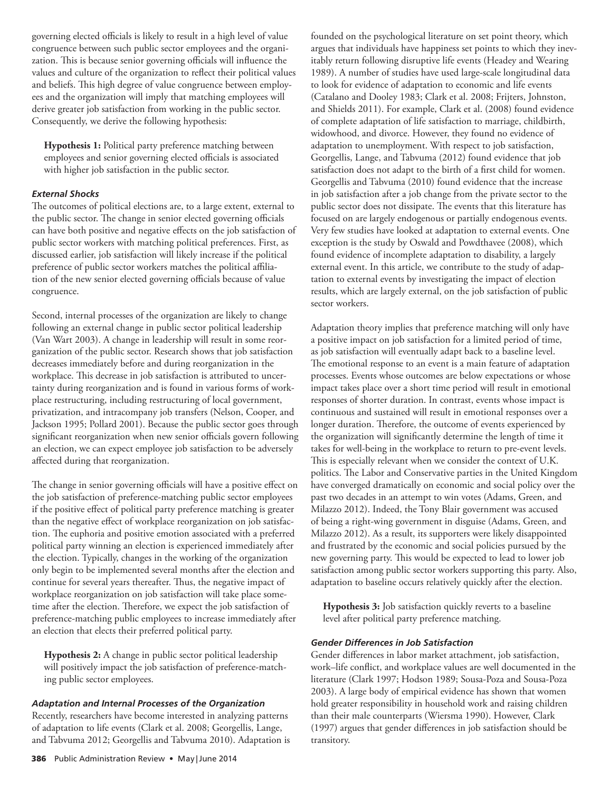governing elected officials is likely to result in a high level of value congruence between such public sector employees and the organization. This is because senior governing officials will influence the values and culture of the organization to reflect their political values and beliefs. This high degree of value congruence between employees and the organization will imply that matching employees will derive greater job satisfaction from working in the public sector. Consequently, we derive the following hypothesis:

**Hypothesis 1:** Political party preference matching between employees and senior governing elected officials is associated with higher job satisfaction in the public sector.

#### *External Shocks*

The outcomes of political elections are, to a large extent, external to the public sector. The change in senior elected governing officials can have both positive and negative effects on the job satisfaction of public sector workers with matching political preferences. First, as discussed earlier, job satisfaction will likely increase if the political preference of public sector workers matches the political affiliation of the new senior elected governing officials because of value congruence.

Second, internal processes of the organization are likely to change following an external change in public sector political leadership (Van Wart 2003). A change in leadership will result in some reorganization of the public sector. Research shows that job satisfaction decreases immediately before and during reorganization in the workplace. This decrease in job satisfaction is attributed to uncertainty during reorganization and is found in various forms of workplace restructuring, including restructuring of local government, privatization, and intracompany job transfers (Nelson, Cooper, and Jackson 1995; Pollard 2001). Because the public sector goes through significant reorganization when new senior officials govern following an election, we can expect employee job satisfaction to be adversely affected during that reorganization.

The change in senior governing officials will have a positive effect on the job satisfaction of preference-matching public sector employees if the positive effect of political party preference matching is greater than the negative effect of workplace reorganization on job satisfaction. The euphoria and positive emotion associated with a preferred political party winning an election is experienced immediately after the election. Typically, changes in the working of the organization only begin to be implemented several months after the election and continue for several years thereafter. Thus, the negative impact of workplace reorganization on job satisfaction will take place sometime after the election. Therefore, we expect the job satisfaction of preference-matching public employees to increase immediately after an election that elects their preferred political party.

**Hypothesis 2:** A change in public sector political leadership will positively impact the job satisfaction of preference-matching public sector employees.

#### *Adaptation and Internal Processes of the Organization*

Recently, researchers have become interested in analyzing patterns of adaptation to life events (Clark et al. 2008; Georgellis, Lange, and Tabvuma 2012; Georgellis and Tabvuma 2010). Adaptation is founded on the psychological literature on set point theory, which argues that individuals have happiness set points to which they inevitably return following disruptive life events (Headey and Wearing 1989). A number of studies have used large-scale longitudinal data to look for evidence of adaptation to economic and life events (Catalano and Dooley 1983; Clark et al. 2008; Frijters, Johnston, and Shields 2011). For example, Clark et al. (2008) found evidence of complete adaptation of life satisfaction to marriage, childbirth, widowhood, and divorce. However, they found no evidence of adaptation to unemployment. With respect to job satisfaction, Georgellis, Lange, and Tabvuma (2012) found evidence that job satisfaction does not adapt to the birth of a first child for women. Georgellis and Tabvuma (2010) found evidence that the increase in job satisfaction after a job change from the private sector to the public sector does not dissipate. The events that this literature has focused on are largely endogenous or partially endogenous events. Very few studies have looked at adaptation to external events. One exception is the study by Oswald and Powdthavee (2008), which found evidence of incomplete adaptation to disability, a largely external event. In this article, we contribute to the study of adaptation to external events by investigating the impact of election results, which are largely external, on the job satisfaction of public sector workers.

Adaptation theory implies that preference matching will only have a positive impact on job satisfaction for a limited period of time, as job satisfaction will eventually adapt back to a baseline level. The emotional response to an event is a main feature of adaptation processes. Events whose outcomes are below expectations or whose impact takes place over a short time period will result in emotional responses of shorter duration. In contrast, events whose impact is continuous and sustained will result in emotional responses over a longer duration. Therefore, the outcome of events experienced by the organization will significantly determine the length of time it takes for well-being in the workplace to return to pre-event levels. This is especially relevant when we consider the context of U.K. politics. The Labor and Conservative parties in the United Kingdom have converged dramatically on economic and social policy over the past two decades in an attempt to win votes (Adams, Green, and Milazzo 2012). Indeed, the Tony Blair government was accused of being a right-wing government in disguise (Adams, Green, and Milazzo 2012). As a result, its supporters were likely disappointed and frustrated by the economic and social policies pursued by the new governing party. This would be expected to lead to lower job satisfaction among public sector workers supporting this party. Also, adaptation to baseline occurs relatively quickly after the election.

**Hypothesis 3:** Job satisfaction quickly reverts to a baseline level after political party preference matching.

#### *Gender Differences in Job Satisfaction*

Gender differences in labor market attachment, job satisfaction, work–life conflict, and workplace values are well documented in the literature (Clark 1997; Hodson 1989; Sousa-Poza and Sousa-Poza 2003). A large body of empirical evidence has shown that women hold greater responsibility in household work and raising children than their male counterparts (Wiersma 1990). However, Clark (1997) argues that gender differences in job satisfaction should be transitory.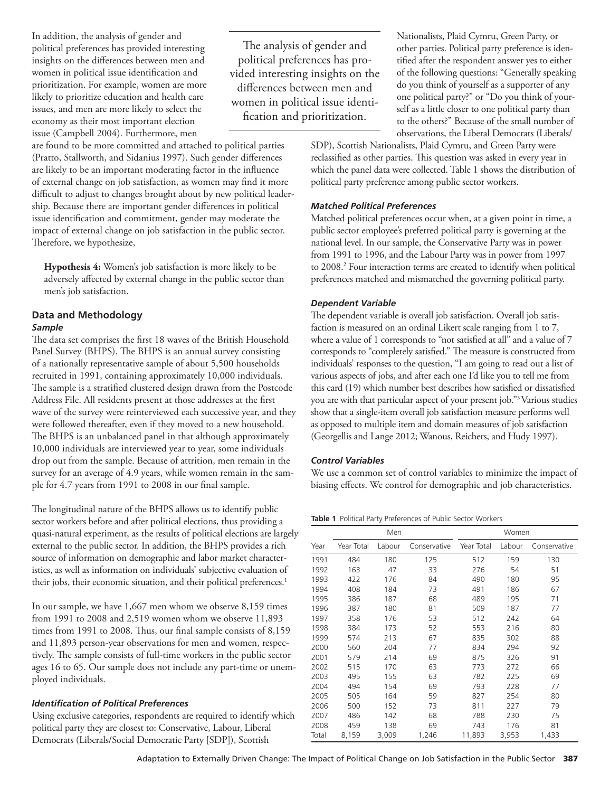In addition, the analysis of gender and political preferences has provided interesting insights on the differences between men and women in political issue identification and prioritization. For example, women are more likely to prioritize education and health care issues, and men are more likely to select the economy as their most important election issue (Campbell 2004). Furthermore, men

are found to be more committed and attached to political parties (Pratto, Stallworth, and Sidanius 1997). Such gender differences are likely to be an important moderating factor in the influence of external change on job satisfaction, as women may find it more difficult to adjust to changes brought about by new political leadership. Because there are important gender differences in political issue identification and commitment, gender may moderate the impact of external change on job satisfaction in the public sector. Therefore, we hypothesize,

**Hypothesis 4:** Women's job satisfaction is more likely to be adversely affected by external change in the public sector than men's job satisfaction.

# **Data and Methodology** *Sample*

The data set comprises the first 18 waves of the British Household Panel Survey (BHPS). The BHPS is an annual survey consisting of a nationally representative sample of about 5,500 households recruited in 1991, containing approximately 10,000 individuals. The sample is a stratified clustered design drawn from the Postcode Address File. All residents present at those addresses at the first wave of the survey were reinterviewed each successive year, and they were followed thereafter, even if they moved to a new household. The BHPS is an unbalanced panel in that although approximately 10,000 individuals are interviewed year to year, some individuals drop out from the sample. Because of attrition, men remain in the survey for an average of 4.9 years, while women remain in the sample for 4.7 years from 1991 to 2008 in our final sample.

The longitudinal nature of the BHPS allows us to identify public sector workers before and after political elections, thus providing a quasi-natural experiment, as the results of political elections are largely external to the public sector. In addition, the BHPS provides a rich source of information on demographic and labor market characteristics, as well as information on individuals' subjective evaluation of their jobs, their economic situation, and their political preferences.<sup>1</sup>

In our sample, we have 1,667 men whom we observe 8,159 times from 1991 to 2008 and 2,519 women whom we observe 11,893 times from 1991 to 2008. Thus, our final sample consists of 8,159 and 11,893 person-year observations for men and women, respectively. The sample consists of full-time workers in the public sector ages 16 to 65. Our sample does not include any part-time or unemployed individuals.

# *Identifi cation of Political Preferences*

Using exclusive categories, respondents are required to identify which political party they are closest to: Conservative, Labour, Liberal Democrats (Liberals/Social Democratic Party [SDP]), Scottish

The analysis of gender and political preferences has provided interesting insights on the differences between men and women in political issue identification and prioritization.

Nationalists, Plaid Cymru, Green Party, or other parties. Political party preference is identified after the respondent answer yes to either of the following questions: "Generally speaking do you think of yourself as a supporter of any one political party?" or "Do you think of yourself as a little closer to one political party than to the others?" Because of the small number of observations, the Liberal Democrats (Liberals/

SDP), Scottish Nationalists, Plaid Cymru, and Green Party were reclassified as other parties. This question was asked in every year in which the panel data were collected. Table 1 shows the distribution of political party preference among public sector workers.

# *Matched Political Preferences*

Matched political preferences occur when, at a given point in time, a public sector employee's preferred political party is governing at the national level. In our sample, the Conservative Party was in power from 1991 to 1996, and the Labour Party was in power from 1997 to 2008.2 Four interaction terms are created to identify when political preferences matched and mismatched the governing political party.

#### *Dependent Variable*

The dependent variable is overall job satisfaction. Overall job satisfaction is measured on an ordinal Likert scale ranging from 1 to 7, where a value of 1 corresponds to "not satisfied at all" and a value of 7 corresponds to "completely satisfied." The measure is constructed from individuals' responses to the question, "I am going to read out a list of various aspects of jobs, and after each one I'd like you to tell me from this card (19) which number best describes how satisfied or dissatisfied you are with that particular aspect of your present job."3 Various studies show that a single-item overall job satisfaction measure performs well as opposed to multiple item and domain measures of job satisfaction (Georgellis and Lange 2012; Wanous, Reichers, and Hudy 1997).

#### *Control Variables*

We use a common set of control variables to minimize the impact of biasing effects. We control for demographic and job characteristics.

**Table 1** Political Party Preferences of Public Sector Workers

|       |            | Men    |              |            | Women  |              |
|-------|------------|--------|--------------|------------|--------|--------------|
| Year  | Year Total | Labour | Conservative | Year Total | Labour | Conservative |
| 1991  | 484        | 180    | 125          | 512        | 159    | 130          |
| 1992  | 163        | 47     | 33           | 276        | 54     | 51           |
| 1993  | 422        | 176    | 84           | 490        | 180    | 95           |
| 1994  | 408        | 184    | 73           | 491        | 186    | 67           |
| 1995  | 386        | 187    | 68           | 489        | 195    | 71           |
| 1996  | 387        | 180    | 81           | 509        | 187    | 77           |
| 1997  | 358        | 176    | 53           | 512        | 242    | 64           |
| 1998  | 384        | 173    | 52           | 553        | 216    | 80           |
| 1999  | 574        | 213    | 67           | 835        | 302    | 88           |
| 2000  | 560        | 204    | 77           | 834        | 294    | 92           |
| 2001  | 579        | 214    | 69           | 875        | 326    | 91           |
| 2002  | 515        | 170    | 63           | 773        | 272    | 66           |
| 2003  | 495        | 155    | 63           | 782        | 225    | 69           |
| 2004  | 494        | 154    | 69           | 793        | 228    | 77           |
| 2005  | 505        | 164    | 59           | 827        | 254    | 80           |
| 2006  | 500        | 152    | 73           | 811        | 227    | 79           |
| 2007  | 486        | 142    | 68           | 788        | 230    | 75           |
| 2008  | 459        | 138    | 69           | 743        | 176    | 81           |
| Total | 8,159      | 3,009  | 1,246        | 11,893     | 3,953  | 1,433        |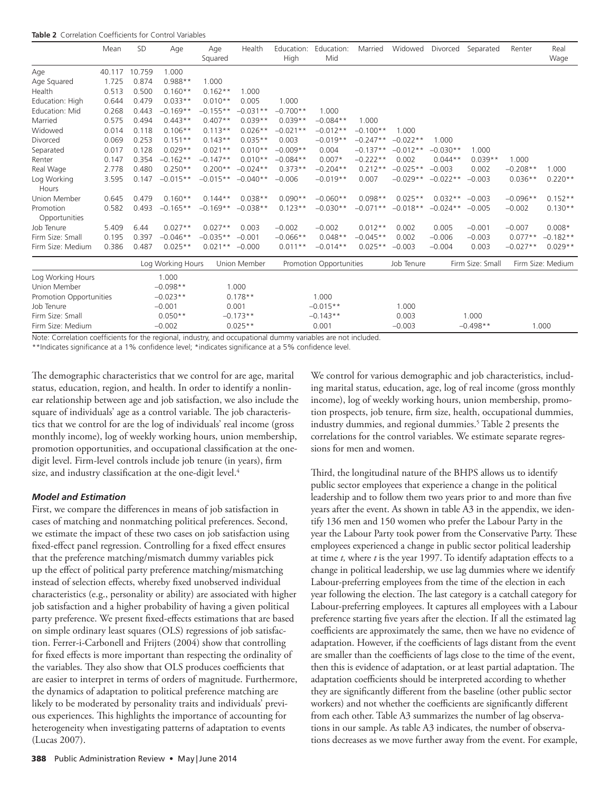| Table 2 Correlation Coefficients for Control Variables |
|--------------------------------------------------------|
|--------------------------------------------------------|

|                            | Mean   | SD     | Age               | Age<br>Squared | Health       | Education:<br>High | Education:<br>Mid       | Married    | Widowed    | Divorced   | Separated        | Renter     | Real<br>Wage      |
|----------------------------|--------|--------|-------------------|----------------|--------------|--------------------|-------------------------|------------|------------|------------|------------------|------------|-------------------|
| Age                        | 40.117 | 10.759 | 1.000             |                |              |                    |                         |            |            |            |                  |            |                   |
| Age Squared                | 1.725  | 0.874  | $0.988**$         | 1.000          |              |                    |                         |            |            |            |                  |            |                   |
| Health                     | 0.513  | 0.500  | $0.160**$         | $0.162**$      | 1.000        |                    |                         |            |            |            |                  |            |                   |
| Education: High            | 0.644  | 0.479  | $0.033**$         | $0.010**$      | 0.005        | 1.000              |                         |            |            |            |                  |            |                   |
| Education: Mid             | 0.268  | 0.443  | $-0.169**$        | $-0.155**$     | $-0.031**$   | $-0.700**$         | 1.000                   |            |            |            |                  |            |                   |
| Married                    | 0.575  | 0.494  | $0.443**$         | $0.407**$      | $0.039**$    | $0.039**$          | $-0.084**$              | 1.000      |            |            |                  |            |                   |
| Widowed                    | 0.014  | 0.118  | $0.106**$         | $0.113**$      | $0.026**$    | $-0.021**$         | $-0.012**$              | $-0.100**$ | 1.000      |            |                  |            |                   |
| Divorced                   | 0.069  | 0.253  | $0.151**$         | $0.143**$      | $0.035**$    | 0.003              | $-0.019**$              | $-0.247**$ | $-0.022**$ | 1.000      |                  |            |                   |
| Separated                  | 0.017  | 0.128  | $0.029**$         | $0.021**$      | $0.010**$    | $-0.009**$         | 0.004                   | $-0.137**$ | $-0.012**$ | $-0.030**$ | 1.000            |            |                   |
| Renter                     | 0.147  | 0.354  | $-0.162**$        | $-0.147**$     | $0.010**$    | $-0.084**$         | $0.007*$                | $-0.222**$ | 0.002      | $0.044**$  | $0.039**$        | 1.000      |                   |
| Real Wage                  | 2.778  | 0.480  | $0.250**$         | $0.200**$      | $-0.024**$   | $0.373**$          | $-0.204**$              | $0.212**$  | $-0.025**$ | $-0.003$   | 0.002            | $-0.208**$ | 1.000             |
| Log Working<br>Hours       | 3.595  | 0.147  | $-0.015**$        | $-0.015**$     | $-0.040**$   | $-0.006$           | $-0.019**$              | 0.007      | $-0.029**$ | $-0.022**$ | $-0.003$         | $0.036**$  | $0.220**$         |
| Union Member               | 0.645  | 0.479  | $0.160**$         | $0.144**$      | $0.038**$    | $0.090**$          | $-0.060**$              | $0.098**$  | $0.025**$  | $0.032**$  | $-0.003$         | $-0.096**$ | $0.152**$         |
| Promotion<br>Opportunities | 0.582  | 0.493  | $-0.165**$        | $-0.169**$     | $-0.038**$   | $0.123**$          | $-0.030**$              | $-0.071**$ | $-0.018**$ | $-0.024**$ | $-0.005$         | $-0.002$   | $0.130**$         |
| Job Tenure                 | 5.409  | 6.44   | $0.027**$         | $0.027**$      | 0.003        | $-0.002$           | $-0.002$                | $0.012**$  | 0.002      | 0.005      | $-0.001$         | $-0.007$   | $0.008*$          |
| Firm Size: Small           | 0.195  | 0.397  | $-0.046**$        | $-0.035**$     | $-0.001$     | $-0.066**$         | $0.048**$               | $-0.045**$ | 0.002      | $-0.006$   | $-0.003$         | $0.077**$  | $-0.182**$        |
| Firm Size: Medium          | 0.386  | 0.487  | $0.025**$         | $0.021**$      | $-0.000$     | $0.011**$          | $-0.014**$              | $0.025**$  | $-0.003$   | $-0.004$   | 0.003            | $-0.027**$ | $0.029**$         |
|                            |        |        | Log Working Hours |                | Union Member |                    | Promotion Opportunities |            | Job Tenure |            | Firm Size: Small |            | Firm Size: Medium |
| Log Working Hours          |        |        | 1.000             |                |              |                    |                         |            |            |            |                  |            |                   |
| Union Member               |        |        | $-0.098**$        |                | 1.000        |                    |                         |            |            |            |                  |            |                   |
| Promotion Opportunities    |        |        | $-0.023**$        |                | $0.178**$    |                    | 1.000                   |            |            |            |                  |            |                   |
| Job Tenure                 |        |        | $-0.001$          |                | 0.001        |                    | $-0.015**$              |            | 1.000      |            |                  |            |                   |
| Firm Size: Small           |        |        | $0.050**$         |                | $-0.173**$   |                    | $-0.143**$              |            | 0.003      |            | 1.000            |            |                   |
| Firm Size: Medium          |        |        | $-0.002$          |                | $0.025**$    |                    | 0.001                   |            | $-0.003$   |            | $-0.498**$       |            | 1.000             |

Note: Correlation coefficients for the regional, industry, and occupational dummy variables are not included.

\*\*Indicates significance at a 1% confidence level; \*indicates significance at a 5% confidence level.

The demographic characteristics that we control for are age, marital status, education, region, and health. In order to identify a nonlinear relationship between age and job satisfaction, we also include the square of individuals' age as a control variable. The job characteristics that we control for are the log of individuals' real income (gross monthly income), log of weekly working hours, union membership, promotion opportunities, and occupational classification at the onedigit level. Firm-level controls include job tenure (in years), firm size, and industry classification at the one-digit level.<sup>4</sup>

# *Model and Estimation*

First, we compare the differences in means of job satisfaction in cases of matching and nonmatching political preferences. Second, we estimate the impact of these two cases on job satisfaction using fixed-effect panel regression. Controlling for a fixed effect ensures that the preference matching/mismatch dummy variables pick up the effect of political party preference matching/mismatching instead of selection effects, whereby fixed unobserved individual characteristics (e.g., personality or ability) are associated with higher job satisfaction and a higher probability of having a given political party preference. We present fixed-effects estimations that are based on simple ordinary least squares (OLS) regressions of job satisfaction. Ferrer-i-Carbonell and Frijters (2004) show that controlling for fixed effects is more important than respecting the ordinality of the variables. They also show that OLS produces coefficients that are easier to interpret in terms of orders of magnitude. Furthermore, the dynamics of adaptation to political preference matching are likely to be moderated by personality traits and individuals' previous experiences. This highlights the importance of accounting for heterogeneity when investigating patterns of adaptation to events (Lucas 2007).

We control for various demographic and job characteristics, including marital status, education, age, log of real income (gross monthly income), log of weekly working hours, union membership, promotion prospects, job tenure, firm size, health, occupational dummies, industry dummies, and regional dummies.<sup>5</sup> Table 2 presents the correlations for the control variables. We estimate separate regressions for men and women.

Third, the longitudinal nature of the BHPS allows us to identify public sector employees that experience a change in the political leadership and to follow them two years prior to and more than five years after the event. As shown in table A3 in the appendix, we identify 136 men and 150 women who prefer the Labour Party in the year the Labour Party took power from the Conservative Party. These employees experienced a change in public sector political leadership at time *t*, where *t* is the year 1997. To identify adaptation effects to a change in political leadership, we use lag dummies where we identify Labour-preferring employees from the time of the election in each year following the election. The last category is a catchall category for Labour-preferring employees. It captures all employees with a Labour preference starting five years after the election. If all the estimated lag coefficients are approximately the same, then we have no evidence of adaptation. However, if the coefficients of lags distant from the event are smaller than the coefficients of lags close to the time of the event, then this is evidence of adaptation, or at least partial adaptation. The adaptation coefficients should be interpreted according to whether they are significantly different from the baseline (other public sector workers) and not whether the coefficients are significantly different from each other. Table A3 summarizes the number of lag observations in our sample. As table A3 indicates, the number of observations decreases as we move further away from the event. For example,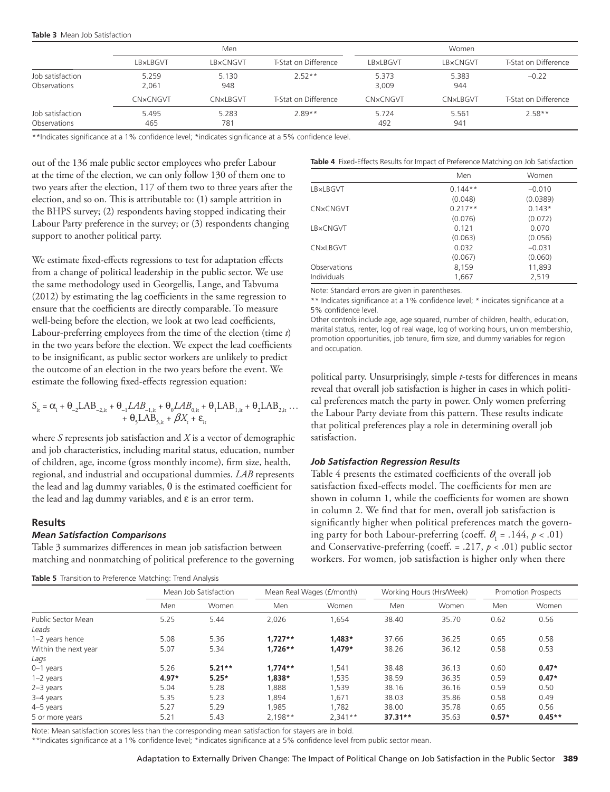|                                  |                | Men          |                      | Women          |                 |                      |  |
|----------------------------------|----------------|--------------|----------------------|----------------|-----------------|----------------------|--|
|                                  | LBxLBGVT       | LBxCNGVT     | T-Stat on Difference | LBxLBGVT       | <b>LBxCNGVT</b> | T-Stat on Difference |  |
| Job satisfaction<br>Observations | 5.259<br>2,061 | 5.130<br>948 | $2.52**$             | 5.373<br>3,009 | 5.383<br>944    | $-0.22$              |  |
|                                  | CNxCNGVT       | CNxLBGVT     | T-Stat on Difference | CNxCNGVT       | CNxLBGVT        | T-Stat on Difference |  |
| Job satisfaction<br>Observations | 5.495<br>465   | 5.283<br>781 | $2.89**$             | 5.724<br>492   | 5.561<br>941    | $2.58**$             |  |

\*\*Indicates significance at a 1% confidence level; \*indicates significance at a 5% confidence level.

out of the 136 male public sector employees who prefer Labour at the time of the election, we can only follow 130 of them one to two years after the election, 117 of them two to three years after the election, and so on. This is attributable to: (1) sample attrition in the BHPS survey; (2) respondents having stopped indicating their Labour Party preference in the survey; or (3) respondents changing support to another political party.

We estimate fixed-effects regressions to test for adaptation effects from a change of political leadership in the public sector. We use the same methodology used in Georgellis, Lange, and Tabvuma  $(2012)$  by estimating the lag coefficients in the same regression to ensure that the coefficients are directly comparable. To measure well-being before the election, we look at two lead coefficients, Labour-preferring employees from the time of the election (time *t*) in the two years before the election. We expect the lead coefficients to be insignificant, as public sector workers are unlikely to predict the outcome of an election in the two years before the event. We estimate the following fixed-effects regression equation:

$$
S_{i\tau} = \alpha_{i} + \theta_{-2}LAB_{-2,i\tau} + \theta_{-1}LAB_{-1,i\tau} + \theta_{0}LAB_{0,i\tau} + \theta_{1}LAB_{1,i\tau} + \theta_{2}LAB_{2,i\tau} \dots
$$

$$
+ \theta_{5}LAB_{5,i\tau} + \beta_{X_{\tau}} + \varepsilon_{i\tau}
$$

where *S* represents job satisfaction and *X* is a vector of demographic and job characteristics, including marital status, education, number of children, age, income (gross monthly income), firm size, health, regional, and industrial and occupational dummies. *LAB* represents the lead and lag dummy variables,  $\theta$  is the estimated coefficient for the lead and lag dummy variables, and  $\varepsilon$  is an error term.

#### **Results**

#### *Mean Satisfaction Comparisons*

Table 3 summarizes differences in mean job satisfaction between matching and nonmatching of political preference to the governing

|  |  |  |  | Table 5 Transition to Preference Matching: Trend Analysis |  |  |  |  |
|--|--|--|--|-----------------------------------------------------------|--|--|--|--|
|--|--|--|--|-----------------------------------------------------------|--|--|--|--|

| Table 4 Fixed-Effects Results for Impact of Preference Matching on Job Satisfaction |  |  |  |
|-------------------------------------------------------------------------------------|--|--|--|
|                                                                                     |  |  |  |

|              | Men       | Women    |
|--------------|-----------|----------|
| LB×LBGVT     | $0.144**$ | $-0.010$ |
|              | (0.048)   | (0.0389) |
| CNxCNGVT     | $0.217**$ | $0.143*$ |
|              | (0.076)   | (0.072)  |
| LBxCNGVT     | 0.121     | 0.070    |
|              | (0.063)   | (0.056)  |
| CNxLBGVT     | 0.032     | $-0.031$ |
|              | (0.067)   | (0.060)  |
| Observations | 8,159     | 11,893   |
| Individuals  | 1,667     | 2,519    |

Note: Standard errors are given in parentheses.

\*\* Indicates significance at a 1% confidence level; \* indicates significance at a 5% confidence level.

Other controls include age, age squared, number of children, health, education, marital status, renter, log of real wage, log of working hours, union membership, promotion opportunities, job tenure, firm size, and dummy variables for region and occupation.

political party. Unsurprisingly, simple *t*-tests for differences in means reveal that overall job satisfaction is higher in cases in which political preferences match the party in power. Only women preferring the Labour Party deviate from this pattern. These results indicate that political preferences play a role in determining overall job satisfaction.

#### *Job Satisfaction Regression Results*

Table 4 presents the estimated coefficients of the overall job satisfaction fixed-effects model. The coefficients for men are shown in column 1, while the coefficients for women are shown in column 2. We find that for men, overall job satisfaction is significantly higher when political preferences match the governing party for both Labour-preferring (coeff.  $\theta_1 = .144$ ,  $p < .01$ ) and Conservative-preferring (coeff. = .217,  $p < .01$ ) public sector workers. For women, job satisfaction is higher only when there

| <b>Table 5</b> Indistribut to Preference Ividiculity. Irend Analysis |                       |          |           |                           |                          |       |         |                     |  |
|----------------------------------------------------------------------|-----------------------|----------|-----------|---------------------------|--------------------------|-------|---------|---------------------|--|
|                                                                      | Mean Job Satisfaction |          |           | Mean Real Wages (£/month) | Working Hours (Hrs/Week) |       |         | Promotion Prospects |  |
|                                                                      | Men                   | Women    | Men       | Women                     | Men                      | Women | Men     | Women               |  |
| Public Sector Mean<br>Leads                                          | 5.25                  | 5.44     | 2,026     | .654                      | 38.40                    | 35.70 | 0.62    | 0.56                |  |
| 1-2 years hence                                                      | 5.08                  | 5.36     | $1.727**$ | $1.483*$                  | 37.66                    | 36.25 | 0.65    | 0.58                |  |
| Within the next year                                                 | 5.07                  | 5.34     | $1.726**$ | $1.479*$                  | 38.26                    | 36.12 | 0.58    | 0.53                |  |
| Lags                                                                 |                       |          |           |                           |                          |       |         |                     |  |
| $0-1$ years                                                          | 5.26                  | $5.21**$ | $1.774**$ | 1,541                     | 38.48                    | 36.13 | 0.60    | $0.47*$             |  |
| $1-2$ years                                                          | $4.97*$               | $5.25*$  | 1,838*    | 1,535                     | 38.59                    | 36.35 | 0.59    | $0.47*$             |  |
| $2-3$ years                                                          | 5.04                  | 5.28     | .888      | 1,539                     | 38.16                    | 36.16 | 0.59    | 0.50                |  |
| 3-4 years                                                            | 5.35                  | 5.23     | ,894      | 671,                      | 38.03                    | 35.86 | 0.58    | 0.49                |  |
| 4-5 years                                                            | 5.27                  | 5.29     | .985      | 1.782                     | 38.00                    | 35.78 | 0.65    | 0.56                |  |
| 5 or more years                                                      | 5.21                  | 5.43     | $2.198**$ | $2.341**$                 | 37.31**                  | 35.63 | $0.57*$ | $0.45**$            |  |

Note: Mean satisfaction scores less than the corresponding mean satisfaction for stayers are in bold.

\*\*Indicates significance at a 1% confidence level; \*indicates significance at a 5% confidence level from public sector mean.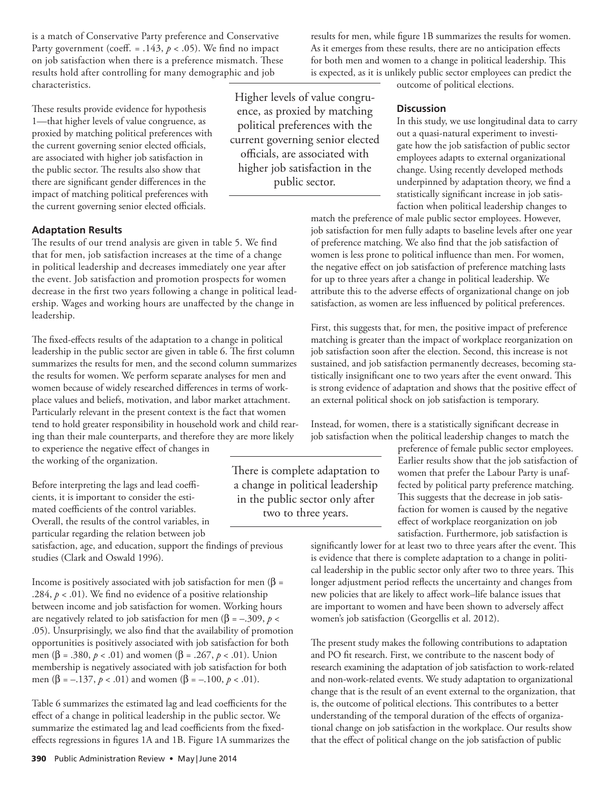is a match of Conservative Party preference and Conservative Party government (coeff. =  $.143, p < .05$ ). We find no impact on job satisfaction when there is a preference mismatch. These results hold after controlling for many demographic and job characteristics.

These results provide evidence for hypothesis 1—that higher levels of value congruence, as proxied by matching political preferences with the current governing senior elected officials, are associated with higher job satisfaction in the public sector. The results also show that there are significant gender differences in the impact of matching political preferences with the current governing senior elected officials.

# **Adaptation Results**

The results of our trend analysis are given in table 5. We find that for men, job satisfaction increases at the time of a change in political leadership and decreases immediately one year after the event. Job satisfaction and promotion prospects for women decrease in the first two years following a change in political leadership. Wages and working hours are unaffected by the change in leadership.

The fixed-effects results of the adaptation to a change in political leadership in the public sector are given in table 6. The first column summarizes the results for men, and the second column summarizes the results for women. We perform separate analyses for men and women because of widely researched differences in terms of workplace values and beliefs, motivation, and labor market attachment. Particularly relevant in the present context is the fact that women tend to hold greater responsibility in household work and child rearing than their male counterparts, and therefore they are more likely

to experience the negative effect of changes in the working of the organization.

Before interpreting the lags and lead coefficients, it is important to consider the estimated coefficients of the control variables. Overall, the results of the control variables, in particular regarding the relation between job

satisfaction, age, and education, support the findings of previous studies (Clark and Oswald 1996).

Income is positively associated with job satisfaction for men (β = .284,  $p < .01$ ). We find no evidence of a positive relationship between income and job satisfaction for women. Working hours are negatively related to job satisfaction for men ( $β = -.309, p <$ .05). Unsurprisingly, we also find that the availability of promotion opportunities is positively associated with job satisfaction for both men (β = .380, *p* < .01) and women (β = .267, *p* < .01). Union membership is negatively associated with job satisfaction for both men (β = -.137, *p* < .01) and women (β = -.100, *p* < .01).

Table 6 summarizes the estimated lag and lead coefficients for the effect of a change in political leadership in the public sector. We summarize the estimated lag and lead coefficients from the fixedeffects regressions in figures 1A and 1B. Figure 1A summarizes the

Higher levels of value congruence, as proxied by matching political preferences with the current governing senior elected officials, are associated with higher job satisfaction in the public sector.

There is complete adaptation to a change in political leadership in the public sector only after two to three years.

results for men, while figure 1B summarizes the results for women. As it emerges from these results, there are no anticipation effects for both men and women to a change in political leadership. This is expected, as it is unlikely public sector employees can predict the outcome of political elections.

#### **Discussion**

In this study, we use longitudinal data to carry out a quasi-natural experiment to investigate how the job satisfaction of public sector employees adapts to external organizational change. Using recently developed methods underpinned by adaptation theory, we find a statistically significant increase in job satisfaction when political leadership changes to

match the preference of male public sector employees. However, job satisfaction for men fully adapts to baseline levels after one year of preference matching. We also find that the job satisfaction of women is less prone to political influence than men. For women, the negative effect on job satisfaction of preference matching lasts for up to three years after a change in political leadership. We attribute this to the adverse effects of organizational change on job satisfaction, as women are less influenced by political preferences.

First, this suggests that, for men, the positive impact of preference matching is greater than the impact of workplace reorganization on job satisfaction soon after the election. Second, this increase is not sustained, and job satisfaction permanently decreases, becoming statistically insignificant one to two years after the event onward. This is strong evidence of adaptation and shows that the positive effect of an external political shock on job satisfaction is temporary.

Instead, for women, there is a statistically significant decrease in job satisfaction when the political leadership changes to match the

> preference of female public sector employees. Earlier results show that the job satisfaction of women that prefer the Labour Party is unaffected by political party preference matching. This suggests that the decrease in job satisfaction for women is caused by the negative effect of workplace reorganization on job satisfaction. Furthermore, job satisfaction is

significantly lower for at least two to three years after the event. This is evidence that there is complete adaptation to a change in political leadership in the public sector only after two to three years. This longer adjustment period reflects the uncertainty and changes from new policies that are likely to affect work-life balance issues that are important to women and have been shown to adversely affect women's job satisfaction (Georgellis et al. 2012).

The present study makes the following contributions to adaptation and PO fit research. First, we contribute to the nascent body of research examining the adaptation of job satisfaction to work-related and non-work-related events. We study adaptation to organizational change that is the result of an event external to the organization, that is, the outcome of political elections. This contributes to a better understanding of the temporal duration of the effects of organizational change on job satisfaction in the workplace. Our results show that the effect of political change on the job satisfaction of public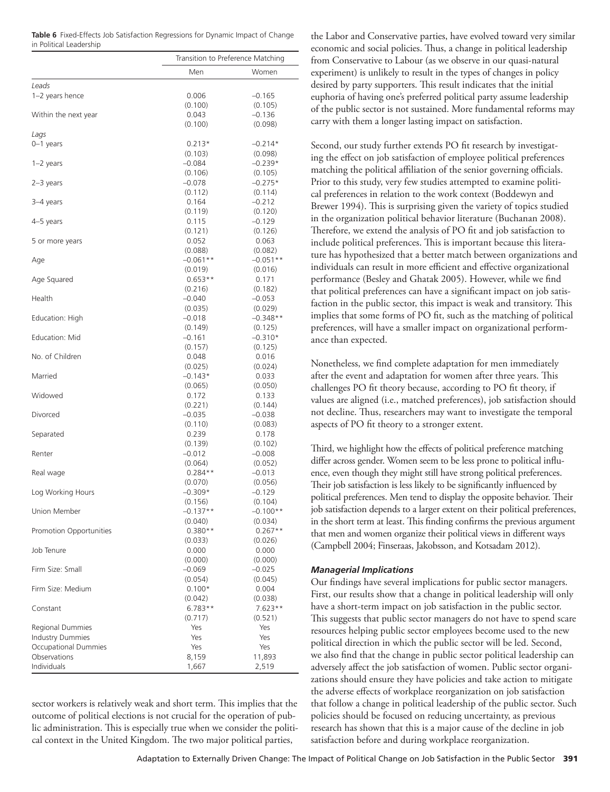|                         |  | <b>Table 6</b> Fixed-Effects Job Satisfaction Regressions for Dynamic Impact of Change |
|-------------------------|--|----------------------------------------------------------------------------------------|
| in Political Leadership |  |                                                                                        |

|                             |                      | Transition to Preference Matching |  |  |
|-----------------------------|----------------------|-----------------------------------|--|--|
|                             | Men                  | Women                             |  |  |
| Leads                       |                      |                                   |  |  |
| 1-2 years hence             | 0.006                | $-0.165$                          |  |  |
|                             | (0.100)              | (0.105)                           |  |  |
| Within the next year        | 0.043                | $-0.136$                          |  |  |
|                             | (0.100)              | (0.098)                           |  |  |
| Lags                        |                      |                                   |  |  |
| 0-1 years                   | $0.213*$<br>(0.103)  | $-0.214*$<br>(0.098)              |  |  |
| $1-2$ years                 | $-0.084$             | $-0.239*$                         |  |  |
|                             | (0.106)              | (0.105)                           |  |  |
| 2-3 years                   | $-0.078$             | $-0.275*$                         |  |  |
|                             | (0.112)              | (0.114)                           |  |  |
| 3-4 years                   | 0.164                | $-0.212$                          |  |  |
|                             | (0.119)              | (0.120)                           |  |  |
| 4-5 years                   | 0.115                | $-0.129$                          |  |  |
|                             | (0.121)              | (0.126)                           |  |  |
| 5 or more years             | 0.052<br>(0.088)     | 0.063                             |  |  |
| Age                         | $-0.061**$           | (0.082)<br>$-0.051**$             |  |  |
|                             | (0.019)              | (0.016)                           |  |  |
| Age Squared                 | $0.653**$            | 0.171                             |  |  |
|                             | (0.216)              | (0.182)                           |  |  |
| Health                      | $-0.040$             | $-0.053$                          |  |  |
|                             | (0.035)              | (0.029)                           |  |  |
| Education: High             | $-0.018$             | $-0.348**$                        |  |  |
|                             | (0.149)              | (0.125)                           |  |  |
| Education: Mid              | $-0.161$             | $-0.310*$                         |  |  |
|                             | (0.157)              | (0.125)                           |  |  |
| No. of Children             | 0.048<br>(0.025)     | 0.016                             |  |  |
| Married                     | $-0.143*$            | (0.024)<br>0.033                  |  |  |
|                             | (0.065)              | (0.050)                           |  |  |
| Widowed                     | 0.172                | 0.133                             |  |  |
|                             | (0.221)              | (0.144)                           |  |  |
| Divorced                    | $-0.035$             | $-0.038$                          |  |  |
|                             | (0.110)              | (0.083)                           |  |  |
| Separated                   | 0.239                | 0.178                             |  |  |
|                             | (0.139)              | (0.102)                           |  |  |
| Renter                      | $-0.012$             | $-0.008$                          |  |  |
| Real wage                   | (0.064)<br>$0.284**$ | (0.052)<br>$-0.013$               |  |  |
|                             | (0.070)              | (0.056)                           |  |  |
| Log Working Hours           | $-0.309*$            | $-0.129$                          |  |  |
|                             | (0.156)              | (0.104)                           |  |  |
| Union Member                | $-0.137**$           | $-0.100**$                        |  |  |
|                             | (0.040)              | (0.034)                           |  |  |
| Promotion Opportunities     | $0.380**$            | $0.267**$                         |  |  |
|                             | (0.033)              | (0.026)                           |  |  |
| Job Tenure                  | 0.000                | 0.000                             |  |  |
| Firm Size: Small            | (0.000)<br>$-0.069$  | (0.000)<br>$-0.025$               |  |  |
|                             | (0.054)              | (0.045)                           |  |  |
| Firm Size: Medium           | $0.100*$             | 0.004                             |  |  |
|                             | (0.042)              | (0.038)                           |  |  |
| Constant                    | $6.783**$            | $7.623**$                         |  |  |
|                             | (0.717)              | (0.521)                           |  |  |
| Regional Dummies            | Yes                  | Yes                               |  |  |
| <b>Industry Dummies</b>     | Yes                  | Yes                               |  |  |
| Occupational Dummies        | Yes                  | Yes                               |  |  |
| Observations<br>Individuals | 8,159                | 11,893                            |  |  |
|                             | 1,667                | 2,519                             |  |  |

sector workers is relatively weak and short term. This implies that the outcome of political elections is not crucial for the operation of public administration. This is especially true when we consider the political context in the United Kingdom. The two major political parties,

the Labor and Conservative parties, have evolved toward very similar economic and social policies. Thus, a change in political leadership from Conservative to Labour (as we observe in our quasi-natural experiment) is unlikely to result in the types of changes in policy desired by party supporters. This result indicates that the initial euphoria of having one's preferred political party assume leadership of the public sector is not sustained. More fundamental reforms may carry with them a longer lasting impact on satisfaction.

Second, our study further extends PO fit research by investigating the effect on job satisfaction of employee political preferences matching the political affiliation of the senior governing officials. Prior to this study, very few studies attempted to examine political preferences in relation to the work context (Boddewyn and Brewer 1994). This is surprising given the variety of topics studied in the organization political behavior literature (Buchanan 2008). Therefore, we extend the analysis of PO fit and job satisfaction to include political preferences. This is important because this literature has hypothesized that a better match between organizations and individuals can result in more efficient and effective organizational performance (Besley and Ghatak 2005). However, while we find that political preferences can have a significant impact on job satisfaction in the public sector, this impact is weak and transitory. This implies that some forms of PO fit, such as the matching of political preferences, will have a smaller impact on organizational performance than expected.

Nonetheless, we find complete adaptation for men immediately after the event and adaptation for women after three years. This challenges PO fit theory because, according to PO fit theory, if values are aligned (i.e., matched preferences), job satisfaction should not decline. Thus, researchers may want to investigate the temporal aspects of PO fit theory to a stronger extent.

Third, we highlight how the effects of political preference matching differ across gender. Women seem to be less prone to political influence, even though they might still have strong political preferences. Their job satisfaction is less likely to be significantly influenced by political preferences. Men tend to display the opposite behavior. Their job satisfaction depends to a larger extent on their political preferences, in the short term at least. This finding confirms the previous argument that men and women organize their political views in different ways (Campbell 2004; Finseraas, Jakobsson, and Kotsadam 2012).

# *Managerial Implications*

Our findings have several implications for public sector managers. First, our results show that a change in political leadership will only have a short-term impact on job satisfaction in the public sector. This suggests that public sector managers do not have to spend scare resources helping public sector employees become used to the new political direction in which the public sector will be led. Second, we also find that the change in public sector political leadership can adversely affect the job satisfaction of women. Public sector organizations should ensure they have policies and take action to mitigate the adverse effects of workplace reorganization on job satisfaction that follow a change in political leadership of the public sector. Such policies should be focused on reducing uncertainty, as previous research has shown that this is a major cause of the decline in job satisfaction before and during workplace reorganization.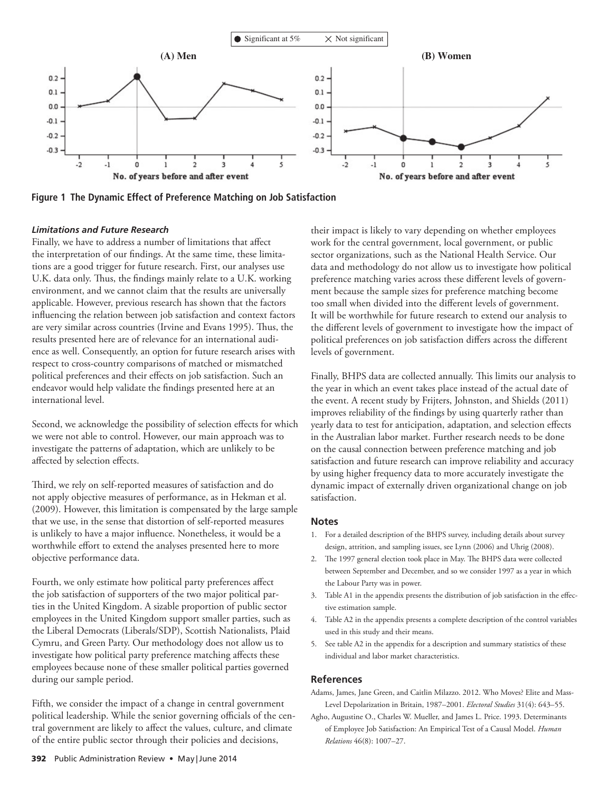

**Figure 1 The Dynamic Effect of Preference Matching on Job Satisfaction**

#### *Limitations and Future Research*

Finally, we have to address a number of limitations that affect the interpretation of our findings. At the same time, these limitations are a good trigger for future research. First, our analyses use U.K. data only. Thus, the findings mainly relate to a U.K. working environment, and we cannot claim that the results are universally applicable. However, previous research has shown that the factors influencing the relation between job satisfaction and context factors are very similar across countries (Irvine and Evans 1995). Thus, the results presented here are of relevance for an international audience as well. Consequently, an option for future research arises with respect to cross-country comparisons of matched or mismatched political preferences and their effects on job satisfaction. Such an endeavor would help validate the findings presented here at an international level.

Second, we acknowledge the possibility of selection effects for which we were not able to control. However, our main approach was to investigate the patterns of adaptation, which are unlikely to be affected by selection effects.

Third, we rely on self-reported measures of satisfaction and do not apply objective measures of performance, as in Hekman et al. (2009). However, this limitation is compensated by the large sample that we use, in the sense that distortion of self-reported measures is unlikely to have a major influence. Nonetheless, it would be a worthwhile effort to extend the analyses presented here to more objective performance data.

Fourth, we only estimate how political party preferences affect the job satisfaction of supporters of the two major political parties in the United Kingdom. A sizable proportion of public sector employees in the United Kingdom support smaller parties, such as the Liberal Democrats (Liberals/SDP), Scottish Nationalists, Plaid Cymru, and Green Party. Our methodology does not allow us to investigate how political party preference matching affects these employees because none of these smaller political parties governed during our sample period.

Fifth, we consider the impact of a change in central government political leadership. While the senior governing officials of the central government are likely to affect the values, culture, and climate of the entire public sector through their policies and decisions,

their impact is likely to vary depending on whether employees work for the central government, local government, or public sector organizations, such as the National Health Service. Our data and methodology do not allow us to investigate how political preference matching varies across these different levels of government because the sample sizes for preference matching become too small when divided into the different levels of government. It will be worthwhile for future research to extend our analysis to the different levels of government to investigate how the impact of political preferences on job satisfaction differs across the different levels of government.

Finally, BHPS data are collected annually. This limits our analysis to the year in which an event takes place instead of the actual date of the event. A recent study by Frijters, Johnston, and Shields (2011) improves reliability of the findings by using quarterly rather than yearly data to test for anticipation, adaptation, and selection effects in the Australian labor market. Further research needs to be done on the causal connection between preference matching and job satisfaction and future research can improve reliability and accuracy by using higher frequency data to more accurately investigate the dynamic impact of externally driven organizational change on job satisfaction.

# **Notes**

- 1. For a detailed description of the BHPS survey, including details about survey design, attrition, and sampling issues, see Lynn (2006) and Uhrig (2008).
- 2. The 1997 general election took place in May. The BHPS data were collected between September and December, and so we consider 1997 as a year in which the Labour Party was in power.
- 3. Table A1 in the appendix presents the distribution of job satisfaction in the effective estimation sample.
- 4. Table A2 in the appendix presents a complete description of the control variables used in this study and their means.
- 5. See table A2 in the appendix for a description and summary statistics of these individual and labor market characteristics.

#### **References**

Adams, James, Jane Green, and Caitlin Milazzo. 2012. Who Moves? Elite and Mass-Level Depolarization in Britain, 1987–2001. *Electoral Studies* 31(4): 643–55.

Agho, Augustine O., Charles W. Mueller, and James L. Price. 1993. Determinants of Employee Job Satisfaction: An Empirical Test of a Causal Model. *Human Relations* 46(8): 1007–27.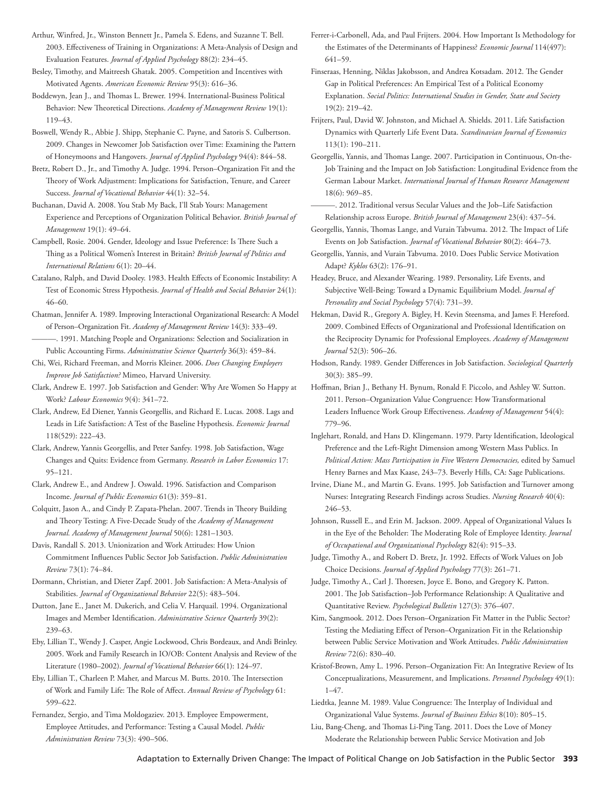Arthur, Winfred, Jr., Winston Bennett Jr., Pamela S. Edens, and Suzanne T. Bell. 2003. Effectiveness of Training in Organizations: A Meta-Analysis of Design and Evaluation Features. *Journal of Applied Psychology* 88(2): 234–45.

Besley, Timothy, and Maitreesh Ghatak. 2005. Competition and Incentives with Motivated Agents. *American Economic Review* 95(3): 616–36.

Boddewyn, Jean J., and Thomas L. Brewer. 1994. International-Business Political Behavior: New Theoretical Directions. *Academy of Management Review* 19(1): 119–43.

Boswell, Wendy R., Abbie J. Shipp, Stephanie C. Payne, and Satoris S. Culbertson. 2009. Changes in Newcomer Job Satisfaction over Time: Examining the Pattern of Honeymoons and Hangovers. *Journal of Applied Psychology* 94(4): 844–58.

Bretz, Robert D., Jr., and Timothy A. Judge. 1994. Person–Organization Fit and the Theory of Work Adjustment: Implications for Satisfaction, Tenure, and Career Success. *Journal of Vocational Behavior* 44(1): 32–54.

Buchanan, David A. 2008. You Stab My Back, I'll Stab Yours: Management Experience and Perceptions of Organization Political Behavior. *British Journal of Management* 19(1): 49–64.

Campbell, Rosie. 2004. Gender, Ideology and Issue Preference: Is There Such a Thing as a Political Women's Interest in Britain? *British Journal of Politics and International Relations* 6(1): 20–44.

Catalano, Ralph, and David Dooley. 1983. Health Effects of Economic Instability: A Test of Economic Stress Hypothesis. *Journal of Health and Social Behavior* 24(1): 46–60.

Chatman, Jennifer A. 1989. Improving Interactional Organizational Research: A Model of Person–Organization Fit. *Academy of Management Review* 14(3): 333–49.

———. 1991. Matching People and Organizations: Selection and Socialization in Public Accounting Firms. *Administrative Science Quarterly* 36(3): 459–84.

Chi, Wei, Richard Freeman, and Morris Kleiner. 2006. *Does Changing Employers Improve Job Satisfaction?* Mimeo, Harvard University.

Clark, Andrew E. 1997. Job Satisfaction and Gender: Why Are Women So Happy at Work? *Labour Economics* 9(4): 341–72.

Clark, Andrew, Ed Diener, Yannis Georgellis, and Richard E. Lucas. 2008. Lags and Leads in Life Satisfaction: A Test of the Baseline Hypothesis. *Economic Journal* 118(529): 222–43.

Clark, Andrew, Yannis Georgellis, and Peter Sanfey. 1998. Job Satisfaction, Wage Changes and Quits: Evidence from Germany. *Research in Labor Economics* 17: 95–121.

Clark, Andrew E., and Andrew J. Oswald. 1996. Satisfaction and Comparison Income. *Journal of Public Economics* 61(3): 359–81.

Colquitt, Jason A., and Cindy P. Zapata-Phelan. 2007. Trends in Theory Building and Theory Testing: A Five-Decade Study of the *Academy of Management Journal. Academy of Management Journal* 50(6): 1281–1303.

Davis, Randall S. 2013. Unionization and Work Attitudes: How Union Commitment Influences Public Sector Job Satisfaction. *Public Administration Review* 73(1): 74–84.

Dormann, Christian, and Dieter Zapf. 2001. Job Satisfaction: A Meta-Analysis of Stabilities. *Journal of Organizational Behavior* 22(5): 483–504.

Dutton, Jane E., Janet M. Dukerich, and Celia V. Harquail. 1994. Organizational Images and Member Identification. *Administrative Science Quarterly* 39(2): 239–63.

Eby, Lillian T., Wendy J. Casper, Angie Lockwood, Chris Bordeaux, and Andi Brinley. 2005. Work and Family Research in IO/OB: Content Analysis and Review of the Literature (1980–2002). *Journal of Vocational Behavior* 66(1): 124–97.

Eby, Lillian T., Charleen P. Maher, and Marcus M. Butts. 2010. The Intersection of Work and Family Life: The Role of Affect. *Annual Review of Psychology* 61: 599–622.

Fernandez, Sergio, and Tima Moldogaziev. 2013. Employee Empowerment, Employee Attitudes, and Performance: Testing a Causal Model. *Public Administration Review* 73(3): 490–506.

Ferrer-i-Carbonell, Ada, and Paul Frijters. 2004. How Important Is Methodology for the Estimates of the Determinants of Happiness? *Economic Journal* 114(497): 641–59.

Finseraas, Henning, Niklas Jakobsson, and Andrea Kotsadam. 2012. The Gender Gap in Political Preferences: An Empirical Test of a Political Economy Explanation. *Social Politics: International Studies in Gender, State and Society* 19(2): 219–42.

Frijters, Paul, David W. Johnston, and Michael A. Shields. 2011. Life Satisfaction Dynamics with Quarterly Life Event Data. *Scandinavian Journal of Economics* 113(1): 190–211.

Georgellis, Yannis, and Thomas Lange. 2007. Participation in Continuous, On-the-Job Training and the Impact on Job Satisfaction: Longitudinal Evidence from the German Labour Market. *International Journal of Human Resource Management* 18(6): 969–85.

-. 2012. Traditional versus Secular Values and the Job-Life Satisfaction Relationship across Europe. *British Journal of Management* 23(4): 437–54.

Georgellis, Yannis, Thomas Lange, and Vurain Tabvuma. 2012. The Impact of Life Events on Job Satisfaction. *Journal of Vocational Behavior* 80(2): 464–73.

Georgellis, Yannis, and Vurain Tabvuma. 2010. Does Public Service Motivation Adapt? *Kyklos* 63(2): 176–91.

Headey, Bruce, and Alexander Wearing. 1989. Personality, Life Events, and Subjective Well-Being: Toward a Dynamic Equilibrium Model. *Journal of Personality and Social Psychology* 57(4): 731–39.

Hekman, David R., Gregory A. Bigley, H. Kevin Steensma, and James F. Hereford. 2009. Combined Effects of Organizational and Professional Identification on the Reciprocity Dynamic for Professional Employees. *Academy of Management Journal* 52(3): 506–26.

Hodson, Randy. 1989. Gender Differences in Job Satisfaction. *Sociological Quarterly* 30(3): 385–99.

Hoffman, Brian J., Bethany H. Bynum, Ronald F. Piccolo, and Ashley W. Sutton. 2011. Person–Organization Value Congruence: How Transformational Leaders Influence Work Group Effectiveness. *Academy of Management* 54(4): 779–96.

Inglehart, Ronald, and Hans D. Klingemann. 1979. Party Identification, Ideological Preference and the Left-Right Dimension among Western Mass Publics. In *Political Action: Mass Participation in Five Western Democracies,* edited by Samuel Henry Barnes and Max Kaase, 243–73. Beverly Hills, CA: Sage Publications.

Irvine, Diane M., and Martin G. Evans. 1995. Job Satisfaction and Turnover among Nurses: Integrating Research Findings across Studies. *Nursing Research* 40(4): 246–53.

Johnson, Russell E., and Erin M. Jackson. 2009. Appeal of Organizational Values Is in the Eye of the Beholder: The Moderating Role of Employee Identity. *Journal of Occupational and Organizational Psychology* 82(4): 915–33.

Judge, Timothy A., and Robert D. Bretz, Jr. 1992. Effects of Work Values on Job Choice Decisions. *Journal of Applied Psychology* 77(3): 261–71.

Judge, Timothy A., Carl J. Thoresen, Joyce E. Bono, and Gregory K. Patton. 2001. The Job Satisfaction-Job Performance Relationship: A Qualitative and Quantitative Review. *Psychological Bulletin* 127(3): 376–407.

Kim, Sangmook. 2012. Does Person–Organization Fit Matter in the Public Sector? Testing the Mediating Effect of Person-Organization Fit in the Relationship between Public Service Motivation and Work Attitudes. *Public Administration Review* 72(6): 830–40.

Kristof-Brown, Amy L. 1996. Person–Organization Fit: An Integrative Review of Its Conceptualizations, Measurement, and Implications. *Personnel Psychology* 49(1): 1–47.

Liedtka, Jeanne M. 1989. Value Congruence: The Interplay of Individual and Organizational Value Systems. *Journal of Business Ethics* 8(10): 805–15.

Liu, Bang-Cheng, and Thomas Li-Ping Tang. 2011. Does the Love of Money Moderate the Relationship between Public Service Motivation and Job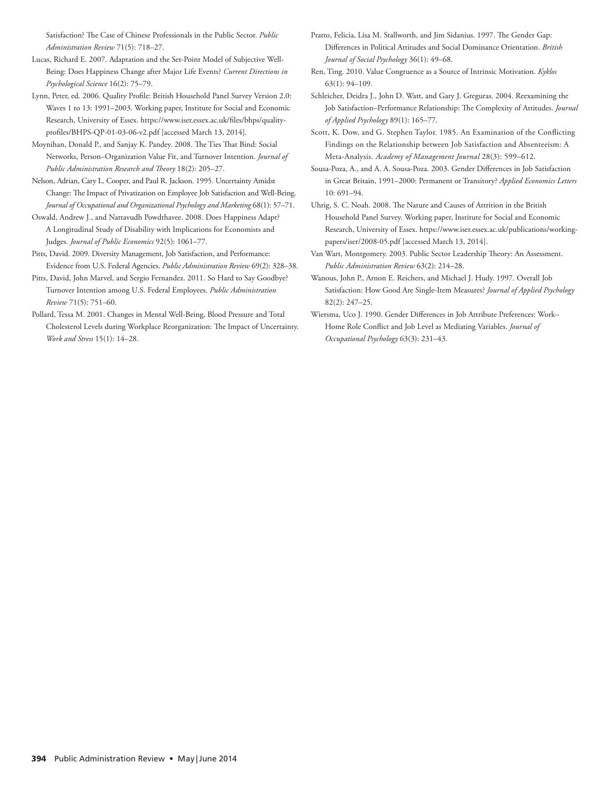Satisfaction? The Case of Chinese Professionals in the Public Sector. *Public Administration Review* 71(5): 718–27.

Lucas, Richard E. 2007. Adaptation and the Set-Point Model of Subjective Well-Being: Does Happiness Change after Major Life Events? *Current Directions in Psychological Science* 16(2): 75–79.

Lynn, Peter, ed. 2006. Quality Profile: British Household Panel Survey Version 2.0: Waves 1 to 13: 1991–2003. Working paper, Institute for Social and Economic Research, University of Essex. https://www.iser.essex.ac.uk/files/bhps/qualityprofiles/BHPS-QP-01-03-06-v2.pdf [accessed March 13, 2014].

Moynihan, Donald P., and Sanjay K. Pandey. 2008. The Ties That Bind: Social Networks, Person–Organization Value Fit, and Turnover Intention. *Journal of*  Public Administration Research and Theory 18(2): 205-27.

Nelson, Adrian, Cary L. Cooper, and Paul R. Jackson. 1995. Uncertainty Amidst Change: The Impact of Privatization on Employee Job Satisfaction and Well-Being. *Journal of Occupational and Organizational Psychology and Marketing* 68(1): 57–71.

Oswald, Andrew J., and Nattavudh Powdthavee. 2008. Does Happiness Adapt? A Longitudinal Study of Disability with Implications for Economists and Judges. *Journal of Public Economics* 92(5): 1061–77.

Pitts, David. 2009. Diversity Management, Job Satisfaction, and Performance: Evidence from U.S. Federal Agencies. *Public Administration Review* 69(2): 328–38.

Pitts, David, John Marvel, and Sergio Fernandez. 2011. So Hard to Say Goodbye? Turnover Intention among U.S. Federal Employees. *Public Administration Review* 71(5): 751–60.

Pollard, Tessa M. 2001. Changes in Mental Well-Being, Blood Pressure and Total Cholesterol Levels during Workplace Reorganization: The Impact of Uncertainty. *Work and Stress* 15(1): 14–28.

Pratto, Felicia, Lisa M. Stallworth, and Jim Sidanius. 1997. The Gender Gap: Differences in Political Attitudes and Social Dominance Orientation. *British Journal of Social Psychology* 36(1): 49–68.

Ren, Ting. 2010. Value Congruence as a Source of Intrinsic Motivation. *Kyklos* 63(1): 94–109.

Schleicher, Deidra J., John D. Watt, and Gary J. Greguras. 2004. Reexamining the Job Satisfaction-Performance Relationship: The Complexity of Attitudes. *Journal of Applied Psychology* 89(1): 165–77.

Scott, K. Dow, and G. Stephen Taylor. 1985. An Examination of the Conflicting Findings on the Relationship between Job Satisfaction and Absenteeism: A Meta-Analysis. *Academy of Management Journal* 28(3): 599–612.

Sousa-Poza, A., and A. A. Sousa-Poza. 2003. Gender Differences in Job Satisfaction in Great Britain, 1991–2000: Permanent or Transitory? *Applied Economics Letters* 10: 691–94.

Uhrig, S. C. Noah. 2008. The Nature and Causes of Attrition in the British Household Panel Survey. Working paper, Institute for Social and Economic Research, University of Essex. https://www.iser.essex.ac.uk/publications/workingpapers/iser/2008-05.pdf [accessed March 13, 2014].

Van Wart, Montgomery. 2003. Public Sector Leadership Theory: An Assessment. *Public Administration Review* 63(2): 214–28.

Wanous, John P., Arnon E. Reichers, and Michael J. Hudy. 1997. Overall Job Satisfaction: How Good Are Single-Item Measures? *Journal of Applied Psychology* 82(2): 247–25.

Wiersma, Uco J. 1990. Gender Differences in Job Attribute Preferences: Work-Home Role Conflict and Job Level as Mediating Variables. *Journal of Occupational Psychology* 63(3): 231–43.